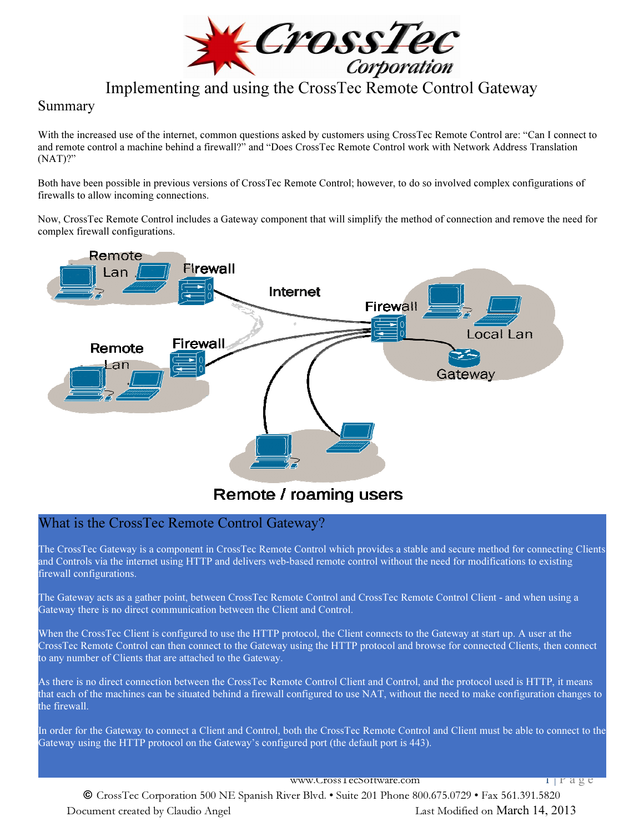

## Summary

With the increased use of the internet, common questions asked by customers using CrossTec Remote Control are: "Can I connect to and remote control a machine behind a firewall?" and "Does CrossTec Remote Control work with Network Address Translation (NAT)?"

Both have been possible in previous versions of CrossTec Remote Control; however, to do so involved complex configurations of firewalls to allow incoming connections.

Now, CrossTec Remote Control includes a Gateway component that will simplify the method of connection and remove the need for complex firewall configurations.



# Remote / roaming users

# What is the CrossTec Remote Control Gateway?

The CrossTec Gateway is a component in CrossTec Remote Control which provides a stable and secure method for connecting Clients and Controls via the internet using HTTP and delivers web-based remote control without the need for modifications to existing firewall configurations.

The Gateway acts as a gather point, between CrossTec Remote Control and CrossTec Remote Control Client - and when using a Gateway there is no direct communication between the Client and Control.

When the CrossTec Client is configured to use the HTTP protocol, the Client connects to the Gateway at start up. A user at the CrossTec Remote Control can then connect to the Gateway using the HTTP protocol and browse for connected Clients, then connect to any number of Clients that are attached to the Gateway.

As there is no direct connection between the CrossTec Remote Control Client and Control, and the protocol used is HTTP, it means that each of the machines can be situated behind a firewall configured to use NAT, without the need to make configuration changes to the firewall.

In order for the Gateway to connect a Client and Control, both the CrossTec Remote Control and Client must be able to connect to the Gateway using the HTTP protocol on the Gateway's configured port (the default port is 443).

www.Cross1ecSoftware.com 1 | P a g e

© CrossTec Corporation 500 NE Spanish River Blvd. • Suite 201 Phone 800.675.0729 • Fax 561.391.5820 Document created by Claudio Angel Last Modified on March 14, 2013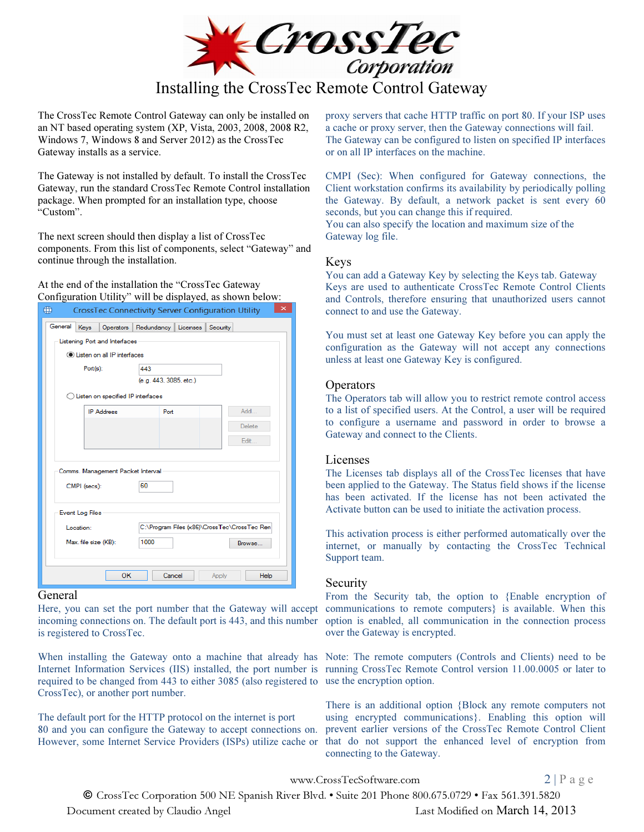

The CrossTec Remote Control Gateway can only be installed on an NT based operating system (XP, Vista, 2003, 2008, 2008 R2, Windows 7, Windows 8 and Server 2012) as the CrossTec Gateway installs as a service.

The Gateway is not installed by default. To install the CrossTec Gateway, run the standard CrossTec Remote Control installation package. When prompted for an installation type, choose "Custom".

The next screen should then display a list of CrossTec components. From this list of components, select "Gateway" and continue through the installation.

### At the end of the installation the "CrossTec Gateway Configuration Utility" will be displayed, as shown below:

| ⊕                       |                                      |           |      | <b>CrossTec Connectivity Server Configuration Utility</b> |          | ×                                            |
|-------------------------|--------------------------------------|-----------|------|-----------------------------------------------------------|----------|----------------------------------------------|
| General                 | Keys                                 | Operators |      | Redundancy   Licenses                                     | Security |                                              |
|                         | Listening Port and Interfaces        |           |      |                                                           |          |                                              |
|                         | <b>O</b> Listen on all IP interfaces |           |      |                                                           |          |                                              |
|                         | $Port(s)$ :                          |           | 443  |                                                           |          |                                              |
|                         |                                      |           |      | (e.g. 443, 3085, etc.)                                    |          |                                              |
|                         | Listen on specified IP interfaces    |           |      |                                                           |          |                                              |
|                         | <b>IP Address</b>                    |           |      | Port                                                      |          | Add                                          |
|                         |                                      |           |      |                                                           |          | Delete                                       |
|                         |                                      |           |      |                                                           |          | Edit                                         |
|                         |                                      |           |      |                                                           |          |                                              |
|                         | Comms. Management Packet Interval    |           |      |                                                           |          |                                              |
|                         | CMPI (secs):                         |           | 60   |                                                           |          |                                              |
|                         |                                      |           |      |                                                           |          |                                              |
|                         | <b>Event Log Files</b>               |           |      |                                                           |          |                                              |
|                         | Location:                            |           |      |                                                           |          | C:\Program Files (x86)\CrossTec\CrossTec Ren |
|                         | Max. file size (KB):                 |           | 1000 |                                                           |          | Browse                                       |
|                         |                                      |           |      |                                                           |          |                                              |
|                         |                                      |           |      |                                                           |          |                                              |
|                         |                                      | OK        |      | Cancel                                                    | Apply    | <b>Help</b>                                  |
| $C_{\alpha n \alpha n}$ |                                      |           |      |                                                           |          |                                              |

#### General

Here, you can set the port number that the Gateway will accept incoming connections on. The default port is 443, and this number is registered to CrossTec.

Internet Information Services (IIS) installed, the port number is running CrossTec Remote Control version 11.00.0005 or later to required to be changed from 443 to either 3085 (also registered to use the encryption option. CrossTec), or another port number.

The default port for the HTTP protocol on the internet is port 80 and you can configure the Gateway to accept connections on. However, some Internet Service Providers (ISPs) utilize cache or

proxy servers that cache HTTP traffic on port 80. If your ISP uses a cache or proxy server, then the Gateway connections will fail. The Gateway can be configured to listen on specified IP interfaces or on all IP interfaces on the machine.

CMPI (Sec): When configured for Gateway connections, the Client workstation confirms its availability by periodically polling the Gateway. By default, a network packet is sent every 60 seconds, but you can change this if required. You can also specify the location and maximum size of the Gateway log file.

### Keys

You can add a Gateway Key by selecting the Keys tab. Gateway Keys are used to authenticate CrossTec Remote Control Clients and Controls, therefore ensuring that unauthorized users cannot connect to and use the Gateway.

You must set at least one Gateway Key before you can apply the configuration as the Gateway will not accept any connections unless at least one Gateway Key is configured.

### **Operators**

The Operators tab will allow you to restrict remote control access to a list of specified users. At the Control, a user will be required to configure a username and password in order to browse a Gateway and connect to the Clients.

### Licenses

The Licenses tab displays all of the CrossTec licenses that have been applied to the Gateway. The Status field shows if the license has been activated. If the license has not been activated the Activate button can be used to initiate the activation process.

This activation process is either performed automatically over the internet, or manually by contacting the CrossTec Technical Support team.

### Security

From the Security tab, the option to {Enable encryption of communications to remote computers} is available. When this option is enabled, all communication in the connection process over the Gateway is encrypted.

When installing the Gateway onto a machine that already has Note: The remote computers (Controls and Clients) need to be

There is an additional option {Block any remote computers not using encrypted communications}. Enabling this option will prevent earlier versions of the CrossTec Remote Control Client that do not support the enhanced level of encryption from connecting to the Gateway.

www.CrossTecSoftware.com 2 | P a g e

© CrossTec Corporation 500 NE Spanish River Blvd. • Suite 201 Phone 800.675.0729 • Fax 561.391.5820

Document created by Claudio Angel Last Modified on March 14, 2013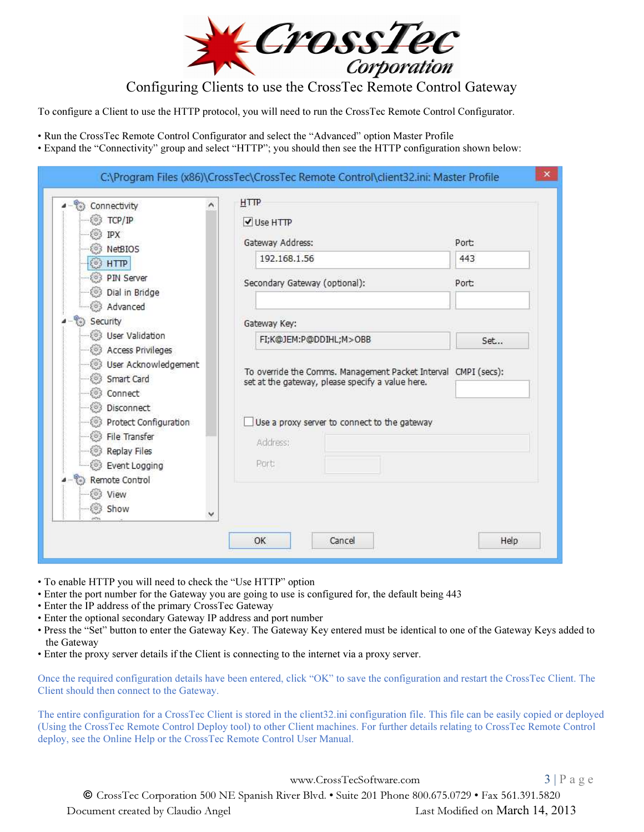

To configure a Client to use the HTTP protocol, you will need to run the CrossTec Remote Control Configurator.

• Run the CrossTec Remote Control Configurator and select the "Advanced" option Master Profile

• Expand the "Connectivity" group and select "HTTP"; you should then see the HTTP configuration shown below:

| Connectivity                                                                                                         | <b>HTTP</b>                                                                                                        |       |
|----------------------------------------------------------------------------------------------------------------------|--------------------------------------------------------------------------------------------------------------------|-------|
| TCP/IP<br>63.                                                                                                        | V Use HTTP                                                                                                         |       |
| IPX<br>NetBIOS                                                                                                       | Gateway Address:                                                                                                   | Port: |
| <b>HTTP</b><br>$\sigma$ 3                                                                                            | 192.168.1.56                                                                                                       | 443   |
| PIN Server<br>Dial in Bridge<br>63                                                                                   | Secondary Gateway (optional):                                                                                      | Port: |
| a Advanced                                                                                                           |                                                                                                                    |       |
| Security                                                                                                             | Gateway Key:                                                                                                       |       |
| User Validation                                                                                                      | FI;K@JEM:P@DDIHL;M>OBB                                                                                             | Set   |
| <b>Access Privileges</b><br>803<br><b>B</b> User Acknowledgement<br>Smart Card<br>803<br>Connect<br>Disconnect<br>63 | To override the Comms. Management Packet Interval CMPI (secs):<br>set at the gateway, please specify a value here. |       |
| Protect Configuration                                                                                                | Use a proxy server to connect to the gateway                                                                       |       |
| File Transfer<br><b>Replay Files</b><br>803                                                                          | Address:                                                                                                           |       |
| Event Logging                                                                                                        | Port:                                                                                                              |       |
| Remote Control<br>03 View                                                                                            |                                                                                                                    |       |
| Show<br>×                                                                                                            |                                                                                                                    |       |

- To enable HTTP you will need to check the "Use HTTP" option
- Enter the port number for the Gateway you are going to use is configured for, the default being 443
- Enter the IP address of the primary CrossTec Gateway
- Enter the optional secondary Gateway IP address and port number
- Press the "Set" button to enter the Gateway Key. The Gateway Key entered must be identical to one of the Gateway Keys added to the Gateway
- Enter the proxy server details if the Client is connecting to the internet via a proxy server.

Once the required configuration details have been entered, click "OK" to save the configuration and restart the CrossTec Client. The Client should then connect to the Gateway.

The entire configuration for a CrossTec Client is stored in the client32.ini configuration file. This file can be easily copied or deployed (Using the CrossTec Remote Control Deploy tool) to other Client machines. For further details relating to CrossTec Remote Control deploy, see the Online Help or the CrossTec Remote Control User Manual.

www.CrossTecSoftware.com 3 | P a g e

© CrossTec Corporation 500 NE Spanish River Blvd. • Suite 201 Phone 800.675.0729 • Fax 561.391.5820

Document created by Claudio Angel Last Modified on March 14, 2013